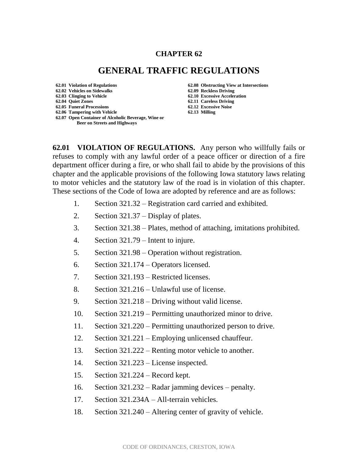## **CHAPTER 62**

## **GENERAL TRAFFIC REGULATIONS**

**62.01 Violation of Regulations 62.08 Obstructing View at Intersections 62.02 Vehicles on Sidewalks 62.09 Reckless Driving 62.03 Clinging to Vehicle 62.10 Excessive Acceleration 62.05 Funeral Processions 62.12 Excessive Noise 62.06 Tampering with Vehicle 62.13 Milling 62.07 Open Container of Alcoholic Beverage, Wine or Beer on Streets and Highways**

**62.11 Careless Driving**<br>**62.12 Excessive Noise** 

**62.01 VIOLATION OF REGULATIONS.** Any person who willfully fails or refuses to comply with any lawful order of a peace officer or direction of a fire department officer during a fire, or who shall fail to abide by the provisions of this chapter and the applicable provisions of the following Iowa statutory laws relating to motor vehicles and the statutory law of the road is in violation of this chapter. These sections of the Code of Iowa are adopted by reference and are as follows:

- 1. Section 321.32 Registration card carried and exhibited.
- 2. Section 321.37 Display of plates.
- 3. Section 321.38 Plates, method of attaching, imitations prohibited.
- 4. Section 321.79 Intent to injure.
- 5. Section 321.98 Operation without registration.
- 6. Section 321.174 Operators licensed.
- 7. Section 321.193 Restricted licenses.
- 8. Section 321.216 Unlawful use of license.
- 9. Section 321.218 Driving without valid license.
- 10. Section 321.219 Permitting unauthorized minor to drive.
- 11. Section 321.220 Permitting unauthorized person to drive.
- 12. Section 321.221 Employing unlicensed chauffeur.
- 13. Section 321.222 Renting motor vehicle to another.
- 14. Section 321.223 License inspected.
- 15. Section 321.224 Record kept.
- 16. Section 321.232 Radar jamming devices penalty.
- 17. Section 321.234A All-terrain vehicles.
- 18. Section 321.240 Altering center of gravity of vehicle.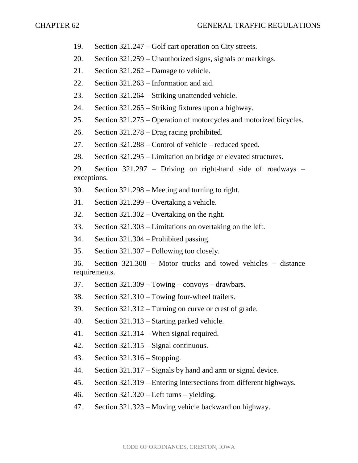- 19. Section 321.247 Golf cart operation on City streets.
- 20. Section 321.259 Unauthorized signs, signals or markings.
- 21. Section 321.262 Damage to vehicle.
- 22. Section 321.263 Information and aid.
- 23. Section 321.264 Striking unattended vehicle.
- 24. Section 321.265 Striking fixtures upon a highway.
- 25. Section 321.275 Operation of motorcycles and motorized bicycles.
- 26. Section 321.278 Drag racing prohibited.
- 27. Section 321.288 Control of vehicle reduced speed.
- 28. Section 321.295 Limitation on bridge or elevated structures.
- 29. Section 321.297 Driving on right-hand side of roadways exceptions.
- 30. Section 321.298 Meeting and turning to right.
- 31. Section 321.299 Overtaking a vehicle.
- 32. Section 321.302 Overtaking on the right.
- 33. Section 321.303 Limitations on overtaking on the left.
- 34. Section 321.304 Prohibited passing.
- 35. Section 321.307 Following too closely.
- 36. Section 321.308 Motor trucks and towed vehicles distance requirements.
- 37. Section 321.309 Towing convoys drawbars.
- 38. Section 321.310 Towing four-wheel trailers.
- 39. Section 321.312 Turning on curve or crest of grade.
- 40. Section 321.313 Starting parked vehicle.
- 41. Section 321.314 When signal required.
- 42. Section 321.315 Signal continuous.
- 43. Section 321.316 Stopping.
- 44. Section 321.317 Signals by hand and arm or signal device.
- 45. Section 321.319 Entering intersections from different highways.
- 46. Section 321.320 Left turns yielding.
- 47. Section 321.323 Moving vehicle backward on highway.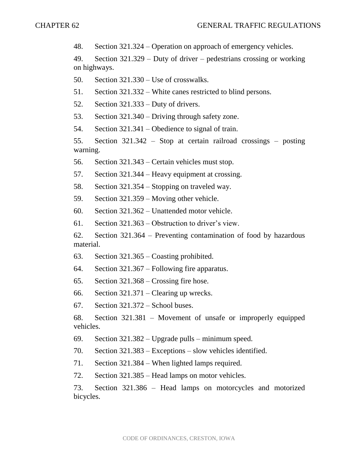48. Section 321.324 – Operation on approach of emergency vehicles.

49. Section 321.329 – Duty of driver – pedestrians crossing or working on highways.

50. Section 321.330 – Use of crosswalks.

51. Section 321.332 – White canes restricted to blind persons.

52. Section 321.333 – Duty of drivers.

53. Section 321.340 – Driving through safety zone.

54. Section 321.341 – Obedience to signal of train.

55. Section 321.342 – Stop at certain railroad crossings – posting warning.

56. Section 321.343 – Certain vehicles must stop.

57. Section 321.344 – Heavy equipment at crossing.

58. Section 321.354 – Stopping on traveled way.

59. Section 321.359 – Moving other vehicle.

60. Section 321.362 – Unattended motor vehicle.

61. Section 321.363 – Obstruction to driver's view.

62. Section 321.364 – Preventing contamination of food by hazardous material.

63. Section 321.365 – Coasting prohibited.

64. Section 321.367 – Following fire apparatus.

65. Section 321.368 – Crossing fire hose.

66. Section 321.371 – Clearing up wrecks.

67. Section 321.372 – School buses.

68. Section 321.381 – Movement of unsafe or improperly equipped vehicles.

69. Section 321.382 – Upgrade pulls – minimum speed.

70. Section 321.383 – Exceptions – slow vehicles identified.

71. Section 321.384 – When lighted lamps required.

72. Section 321.385 – Head lamps on motor vehicles.

73. Section 321.386 – Head lamps on motorcycles and motorized bicycles.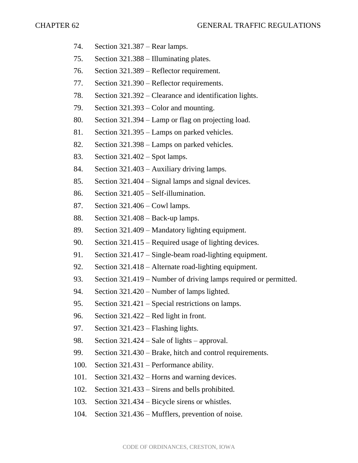- 74. Section 321.387 Rear lamps.
- 75. Section 321.388 Illuminating plates.
- 76. Section 321.389 Reflector requirement.
- 77. Section 321.390 Reflector requirements.
- 78. Section 321.392 Clearance and identification lights.
- 79. Section 321.393 Color and mounting.
- 80. Section 321.394 Lamp or flag on projecting load.
- 81. Section 321.395 Lamps on parked vehicles.
- 82. Section 321.398 Lamps on parked vehicles.
- 83. Section 321.402 Spot lamps.
- 84. Section 321.403 Auxiliary driving lamps.
- 85. Section 321.404 Signal lamps and signal devices.
- 86. Section 321.405 Self-illumination.
- 87. Section 321.406 Cowl lamps.
- 88. Section 321.408 Back-up lamps.
- 89. Section 321.409 Mandatory lighting equipment.
- 90. Section 321.415 Required usage of lighting devices.
- 91. Section 321.417 Single-beam road-lighting equipment.
- 92. Section 321.418 Alternate road-lighting equipment.
- 93. Section 321.419 Number of driving lamps required or permitted.
- 94. Section 321.420 Number of lamps lighted.
- 95. Section 321.421 Special restrictions on lamps.
- 96. Section 321.422 Red light in front.
- 97. Section 321.423 Flashing lights.
- 98. Section 321.424 Sale of lights approval.
- 99. Section 321.430 Brake, hitch and control requirements.
- 100. Section 321.431 Performance ability.
- 101. Section 321.432 Horns and warning devices.
- 102. Section 321.433 Sirens and bells prohibited.
- 103. Section 321.434 Bicycle sirens or whistles.
- 104. Section 321.436 Mufflers, prevention of noise.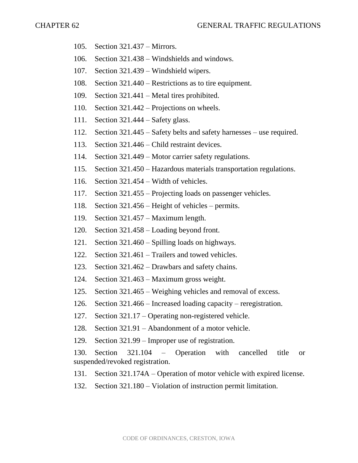- 105. Section 321.437 Mirrors.
- 106. Section 321.438 Windshields and windows.
- 107. Section 321.439 Windshield wipers.
- 108. Section 321.440 Restrictions as to tire equipment.
- 109. Section 321.441 Metal tires prohibited.
- 110. Section 321.442 Projections on wheels.
- 111. Section 321.444 Safety glass.
- 112. Section 321.445 Safety belts and safety harnesses use required.
- 113. Section 321.446 Child restraint devices.
- 114. Section 321.449 Motor carrier safety regulations.
- 115. Section 321.450 Hazardous materials transportation regulations.
- 116. Section 321.454 Width of vehicles.
- 117. Section 321.455 Projecting loads on passenger vehicles.
- 118. Section 321.456 Height of vehicles permits.
- 119. Section 321.457 Maximum length.
- 120. Section 321.458 Loading beyond front.
- 121. Section 321.460 Spilling loads on highways.
- 122. Section 321.461 Trailers and towed vehicles.
- 123. Section 321.462 Drawbars and safety chains.
- 124. Section 321.463 Maximum gross weight.
- 125. Section 321.465 Weighing vehicles and removal of excess.
- 126. Section 321.466 Increased loading capacity reregistration.
- 127. Section 321.17 Operating non-registered vehicle.
- 128. Section 321.91 Abandonment of a motor vehicle.
- 129. Section 321.99 Improper use of registration.

130. Section 321.104 – Operation with cancelled title or suspended/revoked registration.

- 131. Section 321.174A Operation of motor vehicle with expired license.
- 132. Section 321.180 Violation of instruction permit limitation.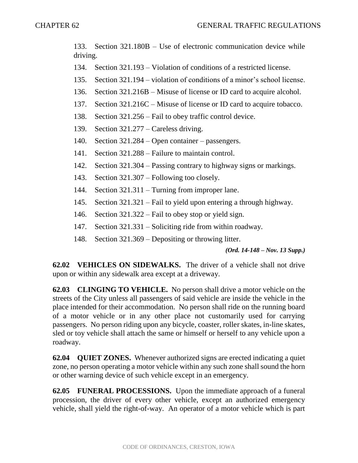133. Section 321.180B – Use of electronic communication device while driving.

- 134. Section 321.193 Violation of conditions of a restricted license.
- 135. Section 321.194 violation of conditions of a minor's school license.
- 136. Section 321.216B Misuse of license or ID card to acquire alcohol.
- 137. Section 321.216C Misuse of license or ID card to acquire tobacco.
- 138. Section 321.256 Fail to obey traffic control device.
- 139. Section 321.277 Careless driving.
- 140. Section 321.284 Open container passengers.
- 141. Section 321.288 Failure to maintain control.
- 142. Section 321.304 Passing contrary to highway signs or markings.
- 143. Section 321.307 Following too closely.
- 144. Section 321.311 Turning from improper lane.
- 145. Section 321.321 Fail to yield upon entering a through highway.
- 146. Section 321.322 Fail to obey stop or yield sign.
- 147. Section 321.331 Soliciting ride from within roadway.
- 148. Section 321.369 Depositing or throwing litter.

## *(Ord. 14-148 – Nov. 13 Supp.)*

**62.02 VEHICLES ON SIDEWALKS.** The driver of a vehicle shall not drive upon or within any sidewalk area except at a driveway.

**62.03 CLINGING TO VEHICLE.** No person shall drive a motor vehicle on the streets of the City unless all passengers of said vehicle are inside the vehicle in the place intended for their accommodation. No person shall ride on the running board of a motor vehicle or in any other place not customarily used for carrying passengers. No person riding upon any bicycle, coaster, roller skates, in-line skates, sled or toy vehicle shall attach the same or himself or herself to any vehicle upon a roadway.

**62.04 QUIET ZONES.** Whenever authorized signs are erected indicating a quiet zone, no person operating a motor vehicle within any such zone shall sound the horn or other warning device of such vehicle except in an emergency.

**62.05 FUNERAL PROCESSIONS.** Upon the immediate approach of a funeral procession, the driver of every other vehicle, except an authorized emergency vehicle, shall yield the right-of-way. An operator of a motor vehicle which is part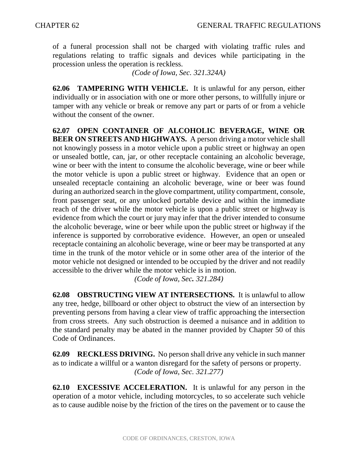of a funeral procession shall not be charged with violating traffic rules and regulations relating to traffic signals and devices while participating in the procession unless the operation is reckless.

*(Code of Iowa, Sec. 321.324A)*

**62.06 TAMPERING WITH VEHICLE.** It is unlawful for any person, either individually or in association with one or more other persons, to willfully injure or tamper with any vehicle or break or remove any part or parts of or from a vehicle without the consent of the owner.

**62.07 OPEN CONTAINER OF ALCOHOLIC BEVERAGE, WINE OR BEER ON STREETS AND HIGHWAYS.** A person driving a motor vehicle shall not knowingly possess in a motor vehicle upon a public street or highway an open or unsealed bottle, can, jar, or other receptacle containing an alcoholic beverage, wine or beer with the intent to consume the alcoholic beverage, wine or beer while the motor vehicle is upon a public street or highway. Evidence that an open or unsealed receptacle containing an alcoholic beverage, wine or beer was found during an authorized search in the glove compartment, utility compartment, console, front passenger seat, or any unlocked portable device and within the immediate reach of the driver while the motor vehicle is upon a public street or highway is evidence from which the court or jury may infer that the driver intended to consume the alcoholic beverage, wine or beer while upon the public street or highway if the inference is supported by corroborative evidence. However, an open or unsealed receptacle containing an alcoholic beverage, wine or beer may be transported at any time in the trunk of the motor vehicle or in some other area of the interior of the motor vehicle not designed or intended to be occupied by the driver and not readily accessible to the driver while the motor vehicle is in motion.

*(Code of Iowa, Sec. 321.284)*

**62.08 OBSTRUCTING VIEW AT INTERSECTIONS.** It is unlawful to allow any tree, hedge, billboard or other object to obstruct the view of an intersection by preventing persons from having a clear view of traffic approaching the intersection from cross streets. Any such obstruction is deemed a nuisance and in addition to the standard penalty may be abated in the manner provided by Chapter 50 of this Code of Ordinances.

**62.09 RECKLESS DRIVING.** No person shall drive any vehicle in such manner as to indicate a willful or a wanton disregard for the safety of persons or property. *(Code of Iowa, Sec. 321.277)*

**62.10 EXCESSIVE ACCELERATION.** It is unlawful for any person in the operation of a motor vehicle, including motorcycles, to so accelerate such vehicle as to cause audible noise by the friction of the tires on the pavement or to cause the